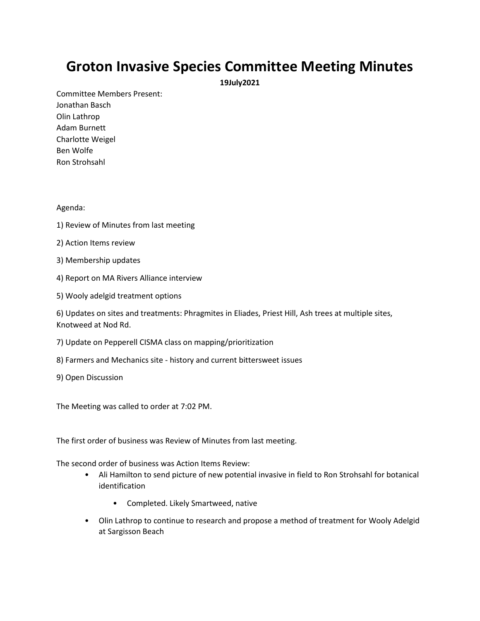## **Groton Invasive Species Committee Meeting Minutes**

**19July2021**

Committee Members Present: Jonathan Basch Olin Lathrop Adam Burnett Charlotte Weigel Ben Wolfe Ron Strohsahl

## Agenda:

- 1) Review of Minutes from last meeting
- 2) Action Items review
- 3) Membership updates
- 4) Report on MA Rivers Alliance interview
- 5) Wooly adelgid treatment options

6) Updates on sites and treatments: Phragmites in Eliades, Priest Hill, Ash trees at multiple sites, Knotweed at Nod Rd.

- 7) Update on Pepperell CISMA class on mapping/prioritization
- 8) Farmers and Mechanics site history and current bittersweet issues
- 9) Open Discussion

The Meeting was called to order at 7:02 PM.

The first order of business was Review of Minutes from last meeting.

The second order of business was Action Items Review:

- Ali Hamilton to send picture of new potential invasive in field to Ron Strohsahl for botanical identification
	- Completed. Likely Smartweed, native
- Olin Lathrop to continue to research and propose a method of treatment for Wooly Adelgid at Sargisson Beach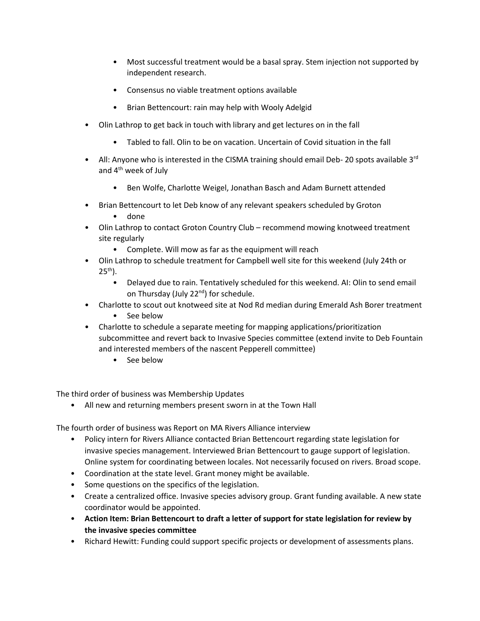- Most successful treatment would be a basal spray. Stem injection not supported by independent research.
- Consensus no viable treatment options available
- Brian Bettencourt: rain may help with Wooly Adelgid
- Olin Lathrop to get back in touch with library and get lectures on in the fall
	- Tabled to fall. Olin to be on vacation. Uncertain of Covid situation in the fall
- All: Anyone who is interested in the CISMA training should email Deb- 20 spots available 3<sup>rd</sup> and 4<sup>th</sup> week of July
	- Ben Wolfe, Charlotte Weigel, Jonathan Basch and Adam Burnett attended
- Brian Bettencourt to let Deb know of any relevant speakers scheduled by Groton
	- done
- Olin Lathrop to contact Groton Country Club recommend mowing knotweed treatment site regularly
	- Complete. Will mow as far as the equipment will reach
- Olin Lathrop to schedule treatment for Campbell well site for this weekend (July 24th or  $25<sup>th</sup>$ ).
	- Delayed due to rain. Tentatively scheduled for this weekend. AI: Olin to send email on Thursday (July 22<sup>nd</sup>) for schedule.
- Charlotte to scout out knotweed site at Nod Rd median during Emerald Ash Borer treatment
	- See below
- Charlotte to schedule a separate meeting for mapping applications/prioritization subcommittee and revert back to Invasive Species committee (extend invite to Deb Fountain and interested members of the nascent Pepperell committee)
	- See below

The third order of business was Membership Updates

• All new and returning members present sworn in at the Town Hall

The fourth order of business was Report on MA Rivers Alliance interview

- Policy intern for Rivers Alliance contacted Brian Bettencourt regarding state legislation for invasive species management. Interviewed Brian Bettencourt to gauge support of legislation. Online system for coordinating between locales. Not necessarily focused on rivers. Broad scope.
- Coordination at the state level. Grant money might be available.
- Some questions on the specifics of the legislation.
- Create a centralized office. Invasive species advisory group. Grant funding available. A new state coordinator would be appointed.
- **Action Item: Brian Bettencourt to draft a letter of support for state legislation for review by the invasive species committee**
- Richard Hewitt: Funding could support specific projects or development of assessments plans.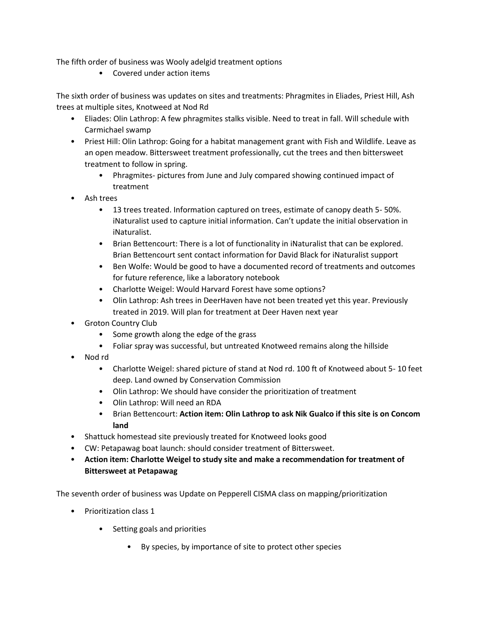The fifth order of business was Wooly adelgid treatment options

• Covered under action items

The sixth order of business was updates on sites and treatments: Phragmites in Eliades, Priest Hill, Ash trees at multiple sites, Knotweed at Nod Rd

- Eliades: Olin Lathrop: A few phragmites stalks visible. Need to treat in fall. Will schedule with Carmichael swamp
- Priest Hill: Olin Lathrop: Going for a habitat management grant with Fish and Wildlife. Leave as an open meadow. Bittersweet treatment professionally, cut the trees and then bittersweet treatment to follow in spring.
	- Phragmites- pictures from June and July compared showing continued impact of treatment
- Ash trees
	- 13 trees treated. Information captured on trees, estimate of canopy death 5- 50%. iNaturalist used to capture initial information. Can't update the initial observation in iNaturalist.
	- Brian Bettencourt: There is a lot of functionality in iNaturalist that can be explored. Brian Bettencourt sent contact information for David Black for iNaturalist support
	- Ben Wolfe: Would be good to have a documented record of treatments and outcomes for future reference, like a laboratory notebook
	- Charlotte Weigel: Would Harvard Forest have some options?
	- Olin Lathrop: Ash trees in DeerHaven have not been treated yet this year. Previously treated in 2019. Will plan for treatment at Deer Haven next year
- Groton Country Club
	- Some growth along the edge of the grass
	- Foliar spray was successful, but untreated Knotweed remains along the hillside
- Nod rd
	- Charlotte Weigel: shared picture of stand at Nod rd. 100 ft of Knotweed about 5- 10 feet deep. Land owned by Conservation Commission
	- Olin Lathrop: We should have consider the prioritization of treatment
	- Olin Lathrop: Will need an RDA
	- Brian Bettencourt: **Action item: Olin Lathrop to ask Nik Gualco if this site is on Concom land**
- Shattuck homestead site previously treated for Knotweed looks good
- CW: Petapawag boat launch: should consider treatment of Bittersweet.
- **Action item: Charlotte Weigel to study site and make a recommendation for treatment of Bittersweet at Petapawag**

The seventh order of business was Update on Pepperell CISMA class on mapping/prioritization

- Prioritization class 1
	- Setting goals and priorities
		- By species, by importance of site to protect other species